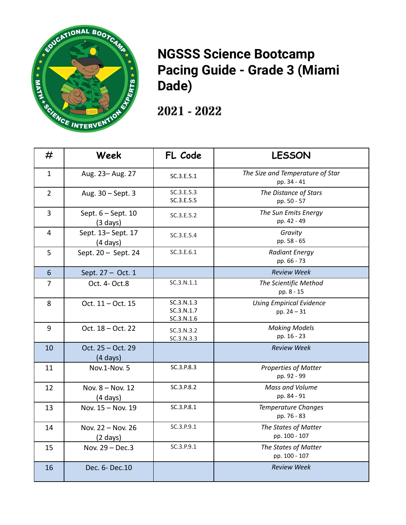

## **NGSSS Science Bootcamp Pacing Guide - Grade 3 (Miami Dade)**

2021 - 2022

| #              | Week                                     | FL Code                                | <b>LESSON</b>                                    |
|----------------|------------------------------------------|----------------------------------------|--------------------------------------------------|
| $\mathbf{1}$   | Aug. 23- Aug. 27                         | SC.3.E.5.1                             | The Size and Temperature of Star<br>pp. 34 - 41  |
| $\overline{2}$ | Aug. 30 - Sept. 3                        | SC.3.E.5.3<br>SC.3.E.5.5               | The Distance of Stars<br>pp. 50 - 57             |
| $\overline{3}$ | Sept. 6 - Sept. 10<br>$(3 \text{ days})$ | SC.3.E.5.2                             | The Sun Emits Energy<br>pp. 42 - 49              |
| $\overline{4}$ | Sept. 13-Sept. 17<br>$(4 \text{ days})$  | SC.3.E.5.4                             | Gravity<br>pp. 58 - 65                           |
| 5              | Sept. 20 - Sept. 24                      | SC.3.E.6.1                             | <b>Radiant Energy</b><br>pp. 66 - 73             |
| $6\phantom{1}$ | Sept. 27 - Oct. 1                        |                                        | <b>Review Week</b>                               |
| $\overline{7}$ | Oct. 4- Oct.8                            | SC.3.N.1.1                             | The Scientific Method<br>pp. 8 - 15              |
| 8              | Oct. 11 - Oct. 15                        | SC.3.N.1.3<br>SC.3.N.1.7<br>SC.3.N.1.6 | <b>Using Empirical Evidence</b><br>pp. $24 - 31$ |
| 9              | Oct. 18 - Oct. 22                        | SC.3.N.3.2<br>SC.3.N.3.3               | <b>Making Models</b><br>pp. 16 - 23              |
| 10             | Oct. 25 - Oct. 29<br>$(4 \text{ days})$  |                                        | <b>Review Week</b>                               |
| 11             | Nov.1-Nov. 5                             | SC.3.P.8.3                             | <b>Properties of Matter</b><br>pp. 92 - 99       |
| 12             | Nov. 8 - Nov. 12<br>$(4 \text{ days})$   | SC.3.P.8.2                             | <b>Mass and Volume</b><br>pp. 84 - 91            |
| 13             | Nov. 15 - Nov. 19                        | SC.3.P.8.1                             | <b>Temperature Changes</b><br>pp. 76 - 83        |
| 14             | Nov. 22 - Nov. 26<br>$(2 \text{ days})$  | SC.3.P.9.1                             | The States of Matter<br>pp. 100 - 107            |
| 15             | Nov. 29 - Dec.3                          | SC.3.P.9.1                             | The States of Matter<br>pp. 100 - 107            |
| 16             | Dec. 6- Dec. 10                          |                                        | <b>Review Week</b>                               |